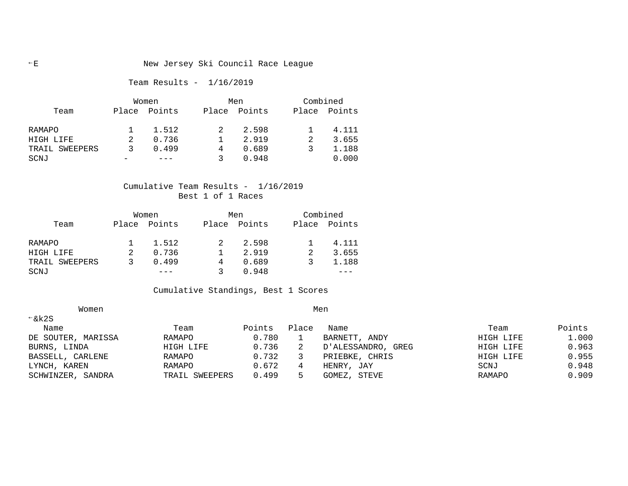# Team Results - 1/16/2019

|                | Women |        |       | Men    |       | Combined |  |
|----------------|-------|--------|-------|--------|-------|----------|--|
| Team           | Place | Points | Place | Points | Place | Points   |  |
| RAMAPO         |       | 1.512  |       | 2.598  |       | 4.111    |  |
| HIGH LIFE      |       | 0.736  |       | 2.919  |       | 3.655    |  |
| TRAIL SWEEPERS |       | 0.499  | 4     | 0.689  |       | 1.188    |  |
| SCNJ           |       |        |       | 0.948  |       | 0.000    |  |

# Cumulative Team Results - 1/16/2019 Best 1 of 1 Races

|                | Women |              | Men          | Combined |              |  |
|----------------|-------|--------------|--------------|----------|--------------|--|
| Team           |       | Place Points | Place Points |          | Place Points |  |
| RAMAPO         |       | 1.512        | 2.598        |          | 4.111        |  |
| HIGH LIFE      |       | 0.736        | 2.919        |          | 3.655        |  |
| TRAIL SWEEPERS |       | 0.499        | 0.689        |          | 1.188        |  |
| SCNJ           |       |              | 0.948        |          |              |  |

# Cumulative Standings, Best 1 Scores

| Women              |                |        |       | Men                   |           |        |  |  |
|--------------------|----------------|--------|-------|-----------------------|-----------|--------|--|--|
| $\xi$ k2S          |                |        |       |                       |           |        |  |  |
| Name               | Team           | Points | Place | Name                  | Team      | Points |  |  |
| DE SOUTER, MARISSA | RAMAPO         | 0.780  |       | BARNETT, ANDY         | HIGH LIFE | 1.000  |  |  |
| BURNS, LINDA       | HIGH LIFE      | 0.736  |       | D'ALESSANDRO,<br>GREG | HIGH LIFE | 0.963  |  |  |
| BASSELL, CARLENE   | RAMAPO         | 0.732  |       | PRIEBKE, CHRIS        | HIGH LIFE | 0.955  |  |  |
| LYNCH, KAREN       | RAMAPO         | 0.672  | 4     | HENRY, JAY            | SCNJ      | 0.948  |  |  |
| SCHWINZER, SANDRA  | TRAIL SWEEPERS | 0.499  | 5.    | GOMEZ, STEVE          | RAMAPO    | 0.909  |  |  |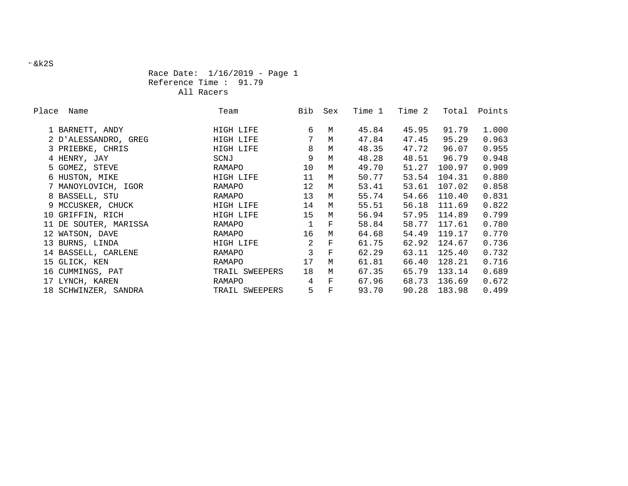# Race Date: 1/16/2019 - Page 1 Reference Time : 91.79 All Racers

| Place | Name                  | Team           | Bib | Sex         | Time 1 | Time 2 | Total  | Points |
|-------|-----------------------|----------------|-----|-------------|--------|--------|--------|--------|
|       | 1 BARNETT, ANDY       | HIGH LIFE      | 6   | M           | 45.84  | 45.95  | 91.79  | 1.000  |
|       | 2 D'ALESSANDRO, GREG  | HIGH LIFE      | 7   | M           | 47.84  | 47.45  | 95.29  | 0.963  |
|       | 3 PRIEBKE, CHRIS      | HIGH LIFE      | 8   | M           | 48.35  | 47.72  | 96.07  | 0.955  |
|       | 4 HENRY, JAY          | SCNJ           | 9   | M           | 48.28  | 48.51  | 96.79  | 0.948  |
|       | 5 GOMEZ, STEVE        | RAMAPO         | 10  | M           | 49.70  | 51.27  | 100.97 | 0.909  |
|       | 6 HUSTON, MIKE        | HIGH LIFE      | 11  | M           | 50.77  | 53.54  | 104.31 | 0.880  |
|       | 7 MANOYLOVICH, IGOR   | RAMAPO         | 12  | M           | 53.41  | 53.61  | 107.02 | 0.858  |
|       | 8 BASSELL, STU        | RAMAPO         | 13  | M           | 55.74  | 54.66  | 110.40 | 0.831  |
|       | 9 MCCUSKER, CHUCK     | HIGH LIFE      | 14  | M           | 55.51  | 56.18  | 111.69 | 0.822  |
|       | 10 GRIFFIN, RICH      | HIGH LIFE      | 15  | M           | 56.94  | 57.95  | 114.89 | 0.799  |
|       | 11 DE SOUTER, MARISSA | RAMAPO         |     | $\mathbf F$ | 58.84  | 58.77  | 117.61 | 0.780  |
|       | 12 WATSON, DAVE       | RAMAPO         | 16  | M           | 64.68  | 54.49  | 119.17 | 0.770  |
|       | 13 BURNS, LINDA       | HIGH LIFE      | 2   | $\mathbf F$ | 61.75  | 62.92  | 124.67 | 0.736  |
|       | 14 BASSELL, CARLENE   | RAMAPO         | 3   | $\mathbf F$ | 62.29  | 63.11  | 125.40 | 0.732  |
|       | 15 GLICK, KEN         | RAMAPO         | 17  | M           | 61.81  | 66.40  | 128.21 | 0.716  |
|       | 16 CUMMINGS, PAT      | TRAIL SWEEPERS | 18  | M           | 67.35  | 65.79  | 133.14 | 0.689  |
|       | 17 LYNCH, KAREN       | RAMAPO         | 4   | $\mathbf F$ | 67.96  | 68.73  | 136.69 | 0.672  |
|       | 18 SCHWINZER, SANDRA  | TRAIL SWEEPERS | 5   | $\mathbf F$ | 93.70  | 90.28  | 183.98 | 0.499  |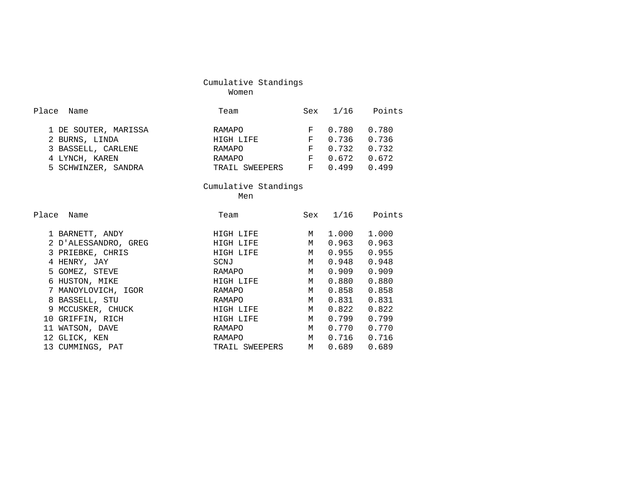| Cumulative Standings |  |
|----------------------|--|
| Women                |  |

| Place Name           | Team           | Sex | 1/16  | Points |
|----------------------|----------------|-----|-------|--------|
| 1 DE SOUTER, MARISSA | RAMAPO         | F   | 0.780 | 0.780  |
| 2 BURNS, LINDA       | HIGH LIFE      | F   | 0.736 | 0.736  |
| 3 BASSELL, CARLENE   | RAMAPO         | F   | 0.732 | 0.732  |
| 4 LYNCH, KAREN       | RAMAPO         | F   | 0.672 | 0.672  |
| 5 SCHWINZER, SANDRA  | TRAIL SWEEPERS | F   | 0.499 | 0499   |

ment of the state of the state of the Ment of the Ment of the State of the Ment of the State of the State of the State of the State of the State of the State of the State of the State of the State of the State of the State Men

| Place<br>Name        | Team           | Sex | 1/16  | Points |
|----------------------|----------------|-----|-------|--------|
|                      |                |     |       |        |
| 1 BARNETT, ANDY      | HIGH LIFE      | M   | 1.000 | 1,000  |
| 2 D'ALESSANDRO, GREG | HIGH LIFE      | M   | 0.963 | 0.963  |
| 3 PRIEBKE, CHRIS     | HIGH LIFE      | M   | 0.955 | 0.955  |
| 4 HENRY, JAY         | SCNJ           | M   | 0.948 | 0.948  |
| 5 GOMEZ, STEVE       | RAMAPO         | M   | 0.909 | 0.909  |
| 6 HUSTON, MIKE       | HIGH LIFE      | M   | 0.880 | 0.880  |
| 7 MANOYLOVICH, IGOR  | RAMAPO         | M   | 0.858 | 0.858  |
| 8 BASSELL, STU       | RAMAPO         | M   | 0.831 | 0.831  |
| 9 MCCUSKER, CHUCK    | HIGH LIFE      | M   | 0.822 | 0.822  |
| 10 GRIFFIN, RICH     | HIGH LIFE      | M   | 0.799 | 0.799  |
| 11 WATSON, DAVE      | RAMAPO         | M   | 0.770 | 0.770  |
| 12 GLICK, KEN        | RAMAPO         | M   | 0.716 | 0.716  |
| 13 CUMMINGS, PAT     | TRAIL SWEEPERS | M   | 0.689 | 0.689  |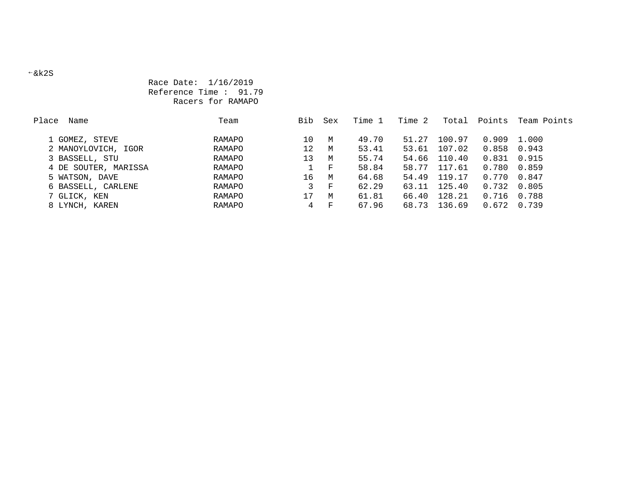# Race Date: 1/16/2019 Reference Time : 91.79 Racers for RAMAPO

| Place<br>Name        | Team   | Bib             | Sex          | Time 1 | Time 2 | Total  | Points | Team Points |
|----------------------|--------|-----------------|--------------|--------|--------|--------|--------|-------------|
|                      |        |                 |              |        |        |        |        |             |
| 1 GOMEZ, STEVE       | RAMAPO | 10              | M            | 49.70  | 51.27  | 100.97 | 0.909  | 1.000       |
| 2 MANOYLOVICH, IGOR  | RAMAPO | 12 <sup>°</sup> | M            | 53.41  | 53.61  | 107.02 | 0.858  | 0.943       |
| 3 BASSELL, STU       | RAMAPO | 13              | M            | 55.74  | 54.66  | 110.40 | 0.831  | 0.915       |
| 4 DE SOUTER, MARISSA | RAMAPO |                 | $\mathbf{F}$ | 58.84  | 58.77  | 117.61 | 0.780  | 0.859       |
| 5 WATSON, DAVE       | RAMAPO | 16              | M            | 64.68  | 54.49  | 119.17 | 0.770  | 0.847       |
| 6 BASSELL, CARLENE   | RAMAPO | 3               | F            | 62.29  | 63.11  | 125.40 | 0.732  | 0.805       |
| 7 GLICK, KEN         | RAMAPO | 17              | M            | 61.81  | 66.40  | 128.21 | 0.716  | 0.788       |
| 8 LYNCH, KAREN       | RAMAPO | 4               | ਾ ਸਾ         | 67.96  | 68.73  | 136.69 | 0.672  | 0.739       |
|                      |        |                 |              |        |        |        |        |             |

#### &k2S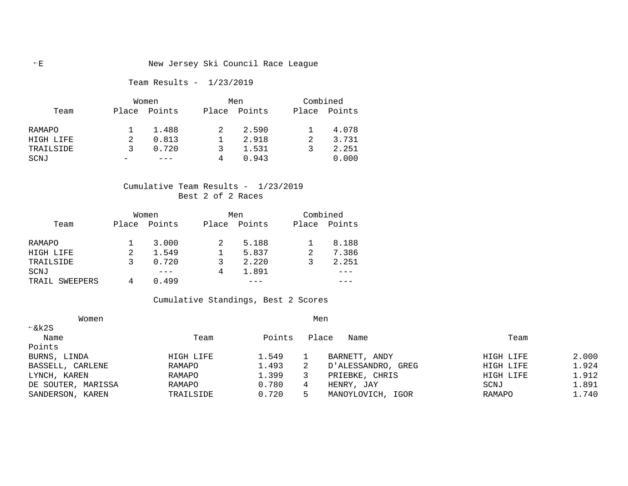# Team Results - 1/23/2019

|           | Women |        |       | Men    |       | Combined |  |
|-----------|-------|--------|-------|--------|-------|----------|--|
| Team      | Place | Points | Place | Points | Place | Points   |  |
| RAMAPO    |       | 1.488  |       | 2.590  |       | 4.078    |  |
| HIGH LIFE |       | 0.813  |       | 2.918  |       | 3.731    |  |
| TRAILSIDE | ર     | 0.720  | 3     | 1.531  |       | 2.251    |  |
| SCNJ      |       |        |       | 0.943  |       | 0.000    |  |

# Cumulative Team Results - 1/23/2019 Best 2 of 2 Races

|                | Women        |       | Men    |   | Combined     |  |
|----------------|--------------|-------|--------|---|--------------|--|
| Team           | Place Points | Place | Points |   | Place Points |  |
| RAMAPO         | 3.000        |       | 5.188  |   | 8.188        |  |
| HIGH LIFE      | 1.549        |       | 5.837  |   | 7.386        |  |
| TRAILSIDE      | 0.720        |       | 2.220  | 3 | 2.251        |  |
| SCNJ           |              | 4     | 1.891  |   |              |  |
| TRAIL SWEEPERS | 0.499        |       |        |   |              |  |

# Cumulative Standings, Best 2 Scores

| Women              |           |        | Men   |                    |           |       |
|--------------------|-----------|--------|-------|--------------------|-----------|-------|
| $\xi$ k2S          |           |        |       |                    |           |       |
| Name               | Team      | Points | Place | Name               | Team      |       |
| Points             |           |        |       |                    |           |       |
| BURNS, LINDA       | HIGH LIFE | 1.549  |       | BARNETT, ANDY      | HIGH LIFE | 2.000 |
| BASSELL, CARLENE   | RAMAPO    | 1.493  | 2     | D'ALESSANDRO, GREG | HIGH LIFE | 1.924 |
| LYNCH, KAREN       | RAMAPO    | 1.399  |       | PRIEBKE, CHRIS     | HIGH LIFE | 1.912 |
| DE SOUTER, MARISSA | RAMAPO    | 0.780  | 4     | HENRY, JAY         | SCNJ      | 1.891 |
| SANDERSON, KAREN   | TRAILSIDE | 0.720  | 5.    | MANOYLOVICH, IGOR  | RAMAPO    | 1.740 |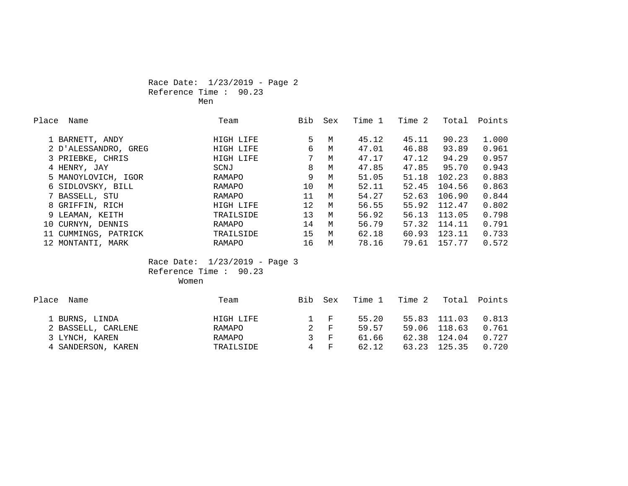# Race Date: 1/23/2019 - Page 2 Reference Time : 90.23 Men

| Place | Name                 | Team      | Bib             | Sex | Time 1 | Time 2 | Total  | Points |
|-------|----------------------|-----------|-----------------|-----|--------|--------|--------|--------|
|       | 1 BARNETT, ANDY      | HIGH LIFE | 5               | M   | 45.12  | 45.11  | 90.23  | 1,000  |
|       | 2 D'ALESSANDRO, GREG | HIGH LIFE | 6               | M   | 47.01  | 46.88  | 93.89  | 0.961  |
|       | 3 PRIEBKE, CHRIS     | HIGH LIFE | 7               | M   | 47.17  | 47.12  | 94.29  | 0.957  |
|       | 4 HENRY, JAY         | SCNJ      | 8               | M   | 47.85  | 47.85  | 95.70  | 0.943  |
|       | 5 MANOYLOVICH, IGOR  | RAMAPO    | 9               | M   | 51.05  | 51.18  | 102.23 | 0.883  |
|       | 6 SIDLOVSKY, BILL    | RAMAPO    | 10              | M   | 52.11  | 52.45  | 104.56 | 0.863  |
|       | 7 BASSELL, STU       | RAMAPO    | 11              | M   | 54.27  | 52.63  | 106.90 | 0.844  |
|       | 8 GRIFFIN, RICH      | HIGH LIFE | 12 <sup>°</sup> | M   | 56.55  | 55.92  | 112.47 | 0.802  |
|       | 9 LEAMAN, KEITH      | TRAILSIDE | 13              | M   | 56.92  | 56.13  | 113.05 | 0.798  |
|       | 10 CURNYN, DENNIS    | RAMAPO    | 14              | M   | 56.79  | 57.32  | 114.11 | 0.791  |
|       | 11 CUMMINGS, PATRICK | TRAILSIDE | 15              | M   | 62.18  | 60.93  | 123.11 | 0.733  |
|       | 12 MONTANTI, MARK    | RAMAPO    | 16              | M   | 78.16  | 79.61  | 157.77 | 0.572  |

# Race Date: 1/23/2019 - Page 3 Reference Time : 90.23 women women women women women women women women women women women women women women women women women women wo

| Place Name         | Team      | <b>Bib</b> | Sex             | Time 1 | Time 2 |              | Total Points |
|--------------------|-----------|------------|-----------------|--------|--------|--------------|--------------|
| 1 BURNS, LINDA     | HIGH LIFE |            | $1 \quad F$     | 55.20  |        | 55.83 111.03 | 0.813        |
| 2 BASSELL, CARLENE | RAMAPO    |            | 2 F             | 59.57  |        | 59.06 118.63 | 0.761        |
| 3 LYNCH, KAREN     | RAMAPO    |            | $\mathcal{S}$ F | 61.66  | 62.38  | 124.04       | 0.727        |
| 4 SANDERSON, KAREN | TRAILSIDE |            | 4 F             | 62.12  | 63.23  | 125.35       | 0.720        |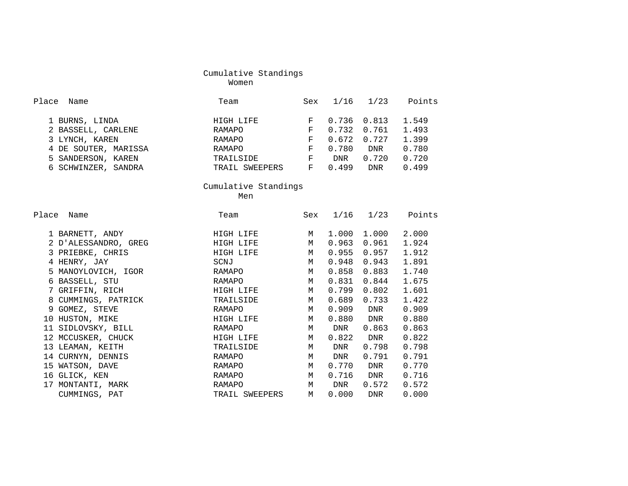women were also the control of the Moment women were the set of the set of the set of the set of the set of th

| Place<br>Name                                                                                                               | Team                                                                                     | Sex                            |                         | $1/16$ $1/23$                                            | Points                                             |
|-----------------------------------------------------------------------------------------------------------------------------|------------------------------------------------------------------------------------------|--------------------------------|-------------------------|----------------------------------------------------------|----------------------------------------------------|
| 1 BURNS, LINDA<br>2 BASSELL, CARLENE<br>3 LYNCH, KAREN<br>4 DE SOUTER, MARISSA<br>5 SANDERSON, KAREN<br>6 SCHWINZER, SANDRA | HIGH LIFE<br>RAMAPO<br>RAMAPO<br>RAMAPO<br>TRAILSIDE F DNR<br>TRAIL SWEEPERS F 0.499 DNR | F<br>F.<br>$\mathbf{F}^-$<br>F | 0.732<br>0.672<br>0.780 | $0.736$ $0.813$<br>0.761<br>0.727<br><b>DNR</b><br>0.720 | 1.549<br>1.493<br>1.399<br>0.780<br>0.720<br>0.499 |
|                                                                                                                             | Cumulative Standings                                                                     |                                |                         |                                                          |                                                    |
|                                                                                                                             | Men                                                                                      |                                |                         |                                                          |                                                    |
| Place<br>Name                                                                                                               | Team                                                                                     |                                |                         |                                                          | Sex 1/16 1/23 Points                               |
| 1 BARNETT, ANDY                                                                                                             | HIGH LIFE                                                                                | M                              |                         | 1.000 1.000                                              | 2.000                                              |
| 2 D'ALESSANDRO, GREG                                                                                                        | HIGH LIFE                                                                                | M                              | 0.963                   | 0.961                                                    | 1.924                                              |
| 3 PRIEBKE, CHRIS                                                                                                            | HIGH LIFE                                                                                | M                              | 0.955                   | 0.957                                                    | 1.912                                              |
| 4 HENRY, JAY                                                                                                                | SCNJ                                                                                     | M                              | 0.948                   | 0.943                                                    | 1.891                                              |
| 5 MANOYLOVICH, IGOR                                                                                                         | RAMAPO                                                                                   | M                              | 0.858                   | 0.883                                                    | 1.740                                              |
| 6 BASSELL, STU                                                                                                              | RAMAPO                                                                                   | M                              | 0.831                   | 0.844                                                    | 1.675                                              |
| 7 GRIFFIN, RICH                                                                                                             | HIGH LIFE                                                                                | M                              | 0.799                   | 0.802                                                    | 1.601                                              |
| 8 CUMMINGS, PATRICK                                                                                                         | TRAILSIDE                                                                                | M                              | 0.689                   | 0.733                                                    | 1.422                                              |
| 9 GOMEZ, STEVE                                                                                                              | RAMAPO                                                                                   | M                              | 0.909                   | <b>DNR</b>                                               | 0.909                                              |
| 10 HUSTON, MIKE                                                                                                             | HIGH LIFE                                                                                | M                              | 0.880                   | <b>DNR</b>                                               | 0.880                                              |
| 11 SIDLOVSKY, BILL                                                                                                          | RAMAPO                                                                                   | M                              | DNR                     | 0.863                                                    | 0.863                                              |
| 12 MCCUSKER, CHUCK                                                                                                          | HIGH LIFE                                                                                | M                              |                         | 0.822 DNR                                                | 0.822                                              |
| 13 LEAMAN, KEITH                                                                                                            | TRAILSIDE                                                                                | M                              | DNR                     | 0.798                                                    | 0.798                                              |
| 14 CURNYN, DENNIS                                                                                                           | RAMAPO                                                                                   | M                              | DNR                     | 0.791                                                    | 0.791                                              |
| 15 WATSON, DAVE                                                                                                             | RAMAPO                                                                                   | M                              | 0.770                   | <b>DNR</b>                                               | 0.770                                              |
| 16 GLICK, KEN                                                                                                               | RAMAPO                                                                                   | M                              |                         | $0.716$ DNR                                              | 0.716                                              |
| 17 MONTANTI, MARK                                                                                                           | RAMAPO                                                                                   | M                              | <b>DNR</b>              | 0.572                                                    | 0.572                                              |
| CUMMINGS, PAT                                                                                                               | TRAIL SWEEPERS                                                                           | M                              | 0.000                   | DNR                                                      | 0.000                                              |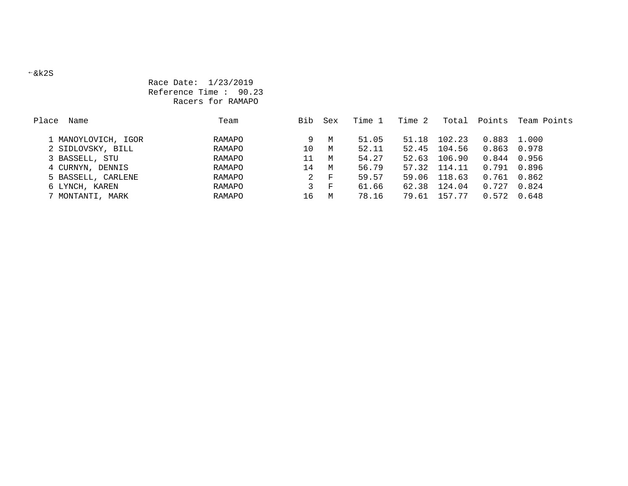# Race Date: 1/23/2019 Reference Time : 90.23 Racers for RAMAPO

| Team          | Bib | Sex  | Time 1 | Time 2 | Total  | Points         | Team Points                                                                                   |
|---------------|-----|------|--------|--------|--------|----------------|-----------------------------------------------------------------------------------------------|
|               |     |      |        |        |        |                |                                                                                               |
| RAMAPO        | 9.  | M    | 51.05  |        | 102.23 |                |                                                                                               |
| RAMAPO        | 10  | M    | 52.11  | 52.45  | 104.56 |                | 0.978                                                                                         |
| RAMAPO        | 11  | M    | 54.27  | 52.63  | 106.90 |                |                                                                                               |
| RAMAPO        | 14  | M    | 56.79  |        | 114.11 |                |                                                                                               |
| RAMAPO        | 2   | $-F$ | 59.57  | 59.06  | 118.63 |                |                                                                                               |
| RAMAPO        | 3   | ਾ ਸਾ | 61.66  | 62.38  | 124.04 |                |                                                                                               |
| <b>RAMAPO</b> | 16  | M    | 78.16  | 79.61  | 157.77 |                | 0.648                                                                                         |
|               |     |      |        |        |        | 51.18<br>57.32 | 0.883 1.000<br>0.863<br>$0.844$ 0.956<br>0.791 0.896<br>0.761 0.862<br>$0.727$ 0.824<br>0.572 |

#### &k2S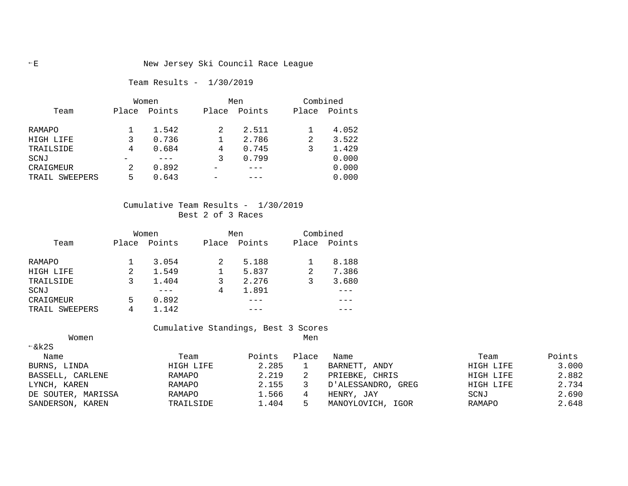# Team Results - 1/30/2019

|                   | Women |        |       | Men    |       | Combined |  |  |
|-------------------|-------|--------|-------|--------|-------|----------|--|--|
| Team              | Place | Points | Place | Points | Place | Points   |  |  |
| RAMAPO            |       | 1.542  |       | 2.511  |       | 4.052    |  |  |
| HIGH LIFE         |       | 0.736  |       | 2.786  | 2     | 3.522    |  |  |
| TRAILSIDE         | 4     | 0.684  | 4     | 0.745  |       | 1.429    |  |  |
| SCNJ              |       |        |       | 0.799  |       | 0.000    |  |  |
| CRAIGMEUR         |       | 0.892  |       |        |       | 0.000    |  |  |
| SWEEPERS<br>TRAIL | 5     | 0.643  |       |        |       | 0.000    |  |  |

# Cumulative Team Results - 1/30/2019 Best 2 of 3 Races

|                   |       | Women  |       | Men    |       | Combined |  |  |
|-------------------|-------|--------|-------|--------|-------|----------|--|--|
| Team              | Place | Points | Place | Points | Place | Points   |  |  |
| RAMAPO            |       | 3.054  | 2     | 5.188  |       | 8.188    |  |  |
| HIGH LIFE         | 2     | 1.549  |       | 5.837  | 2     | 7.386    |  |  |
| TRAILSIDE         |       | 1.404  |       | 2.276  |       | 3.680    |  |  |
| SCNJ              |       |        | 4     | 1.891  |       |          |  |  |
| CRAIGMEUR         | 5     | 0.892  |       |        |       |          |  |  |
| SWEEPERS<br>TRAIL | 4     | 1.142  |       |        |       |          |  |  |

Cumulative Standings, Best 3 Scores

| Women              |           |        | Men   |                    |           |        |
|--------------------|-----------|--------|-------|--------------------|-----------|--------|
| $\xi$ k2S          |           |        |       |                    |           |        |
| Name               | Team      | Points | Place | Name               | Team      | Points |
| BURNS, LINDA       | HIGH LIFE | 2.285  |       | BARNETT, ANDY      | HIGH LIFE | 3.000  |
| BASSELL, CARLENE   | RAMAPO    | 2.219  |       | PRIEBKE, CHRIS     | HIGH LIFE | 2.882  |
| LYNCH, KAREN       | RAMAPO    | 2.155  |       | D'ALESSANDRO, GREG | HIGH LIFE | 2.734  |
| DE SOUTER, MARISSA | RAMAPO    | 1.566  |       | HENRY, JAY         | SCNJ      | 2.690  |
| SANDERSON, KAREN   | TRAILSIDE | 1.404  |       | MANOYLOVICH, IGOR  | RAMAPO    | 2.648  |
|                    |           |        |       |                    |           |        |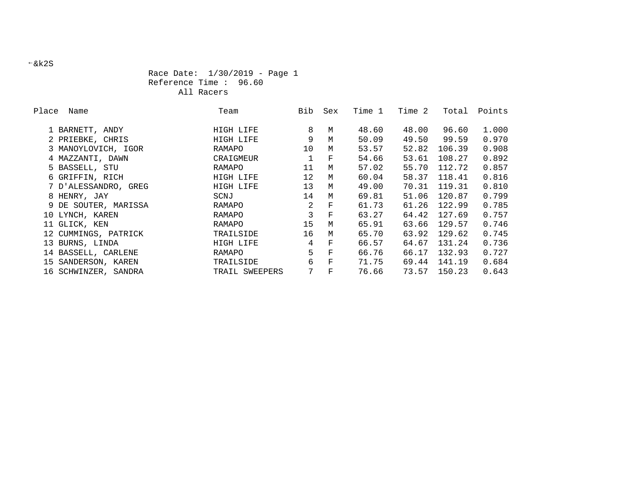# Race Date: 1/30/2019 - Page 1 Reference Time : 96.60 All Racers

| Place | Name                 | Team           | Bib | Sex         | Time 1 | Time 2 | Total  | Points |
|-------|----------------------|----------------|-----|-------------|--------|--------|--------|--------|
|       | 1 BARNETT, ANDY      | HIGH LIFE      | 8   | M           | 48.60  | 48.00  | 96.60  | 1.000  |
|       | 2 PRIEBKE, CHRIS     | HIGH LIFE      | 9   | M           | 50.09  | 49.50  | 99.59  | 0.970  |
|       | 3 MANOYLOVICH, IGOR  | RAMAPO         | 10  | M           | 53.57  | 52.82  | 106.39 | 0.908  |
|       | 4 MAZZANTI, DAWN     | CRAIGMEUR      |     | F           | 54.66  | 53.61  | 108.27 | 0.892  |
|       | 5 BASSELL, STU       | RAMAPO         | 11  | M           | 57.02  | 55.70  | 112.72 | 0.857  |
|       | 6 GRIFFIN, RICH      | HIGH LIFE      | 12  | M           | 60.04  | 58.37  | 118.41 | 0.816  |
|       | 7 D'ALESSANDRO, GREG | HIGH LIFE      | 13  | M           | 49.00  | 70.31  | 119.31 | 0.810  |
|       | 8 HENRY, JAY         | SCNJ           | 14  | M           | 69.81  | 51.06  | 120.87 | 0.799  |
|       | 9 DE SOUTER, MARISSA | RAMAPO         | 2   | $\mathbf F$ | 61.73  | 61.26  | 122.99 | 0.785  |
|       | 10 LYNCH, KAREN      | RAMAPO         | 3   | $\mathbf F$ | 63.27  | 64.42  | 127.69 | 0.757  |
|       | 11 GLICK, KEN        | RAMAPO         | 15  | M           | 65.91  | 63.66  | 129.57 | 0.746  |
|       | 12 CUMMINGS, PATRICK | TRAILSIDE      | 16  | M           | 65.70  | 63.92  | 129.62 | 0.745  |
|       | 13 BURNS, LINDA      | HIGH LIFE      | 4   | $\mathbf F$ | 66.57  | 64.67  | 131.24 | 0.736  |
|       | 14 BASSELL, CARLENE  | RAMAPO         | 5   | $\mathbf F$ | 66.76  | 66.17  | 132.93 | 0.727  |
|       | 15 SANDERSON, KAREN  | TRAILSIDE      | 6   | $\mathbf F$ | 71.75  | 69.44  | 141.19 | 0.684  |
|       | 16 SCHWINZER, SANDRA | TRAIL SWEEPERS | 7   | $\mathbf F$ | 76.66  | 73.57  | 150.23 | 0.643  |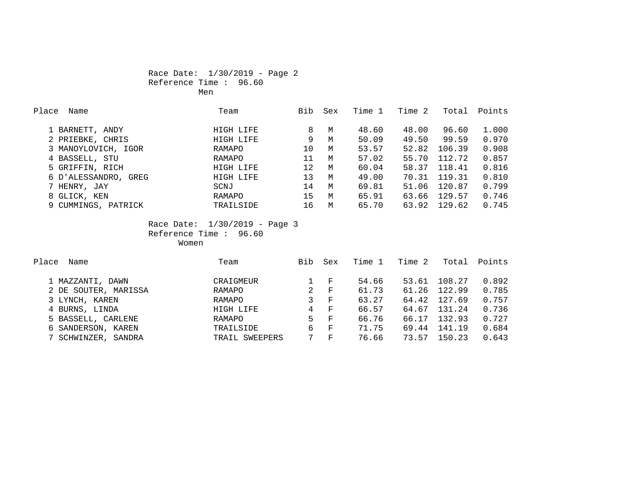# Race Date: 1/30/2019 - Page 2 Reference Time : 96.60 Men

| Place<br>Name        | Team      | Bib | Sex | Time 1 | Time 2 | Total  | Points |
|----------------------|-----------|-----|-----|--------|--------|--------|--------|
| 1 BARNETT, ANDY      | HIGH LIFE | 8   | M   | 48.60  | 48.00  | 96.60  | 1,000  |
| 2 PRIEBKE, CHRIS     | HIGH LIFE | 9   | M   | 50.09  | 49.50  | 99.59  | 0.970  |
| 3 MANOYLOVICH, IGOR  | RAMAPO    | 10  | M   | 53.57  | 52.82  | 106.39 | 0.908  |
| 4 BASSELL, STU       | RAMAPO    | 11  | M   | 57.02  | 55.70  | 112.72 | 0.857  |
| 5 GRIFFIN, RICH      | HIGH LIFE | 12  | M   | 60.04  | 58.37  | 118.41 | 0.816  |
| 6 D'ALESSANDRO, GREG | HIGH LIFE | 13  | M   | 49.00  | 70.31  | 119.31 | 0.810  |
| 7 HENRY, JAY         | SCNJ      | 14  | M   | 69.81  | 51.06  | 120.87 | 0.799  |
| 8 GLICK, KEN         | RAMAPO    | 15  | M   | 65.91  | 63.66  | 129.57 | 0.746  |
| 9 CUMMINGS, PATRICK  | TRAILSIDE | 16  | M   | 65.70  | 63.92  | 129.62 | 0.745  |

 Race Date: 1/30/2019 - Page 3 Reference Time : 96.60 Women

| Place<br>Name        | Team           | Bib | Sex          | Time 1 | Time 2 | Total  | Points |
|----------------------|----------------|-----|--------------|--------|--------|--------|--------|
|                      |                |     |              |        |        |        |        |
| 1 MAZZANTI, DAWN     | CRAIGMEUR      |     | F            | 54.66  | 53.61  | 108.27 | 0.892  |
| 2 DE SOUTER, MARISSA | RAMAPO         | 2   | $_{\rm F}$   | 61.73  | 61.26  | 122.99 | 0.785  |
| 3 LYNCH, KAREN       | RAMAPO         | 3   | F            | 63.27  | 64.42  | 127.69 | 0.757  |
| 4 BURNS, LINDA       | HIGH LIFE      | 4   | $-F$         | 66.57  | 64.67  | 131.24 | 0.736  |
| 5 BASSELL, CARLENE   | RAMAPO         | 5.  | $\mathbf{F}$ | 66.76  | 66.17  | 132.93 | 0.727  |
| 6 SANDERSON, KAREN   | TRAILSIDE      | 6   | $\mathbf{F}$ | 71.75  | 69.44  | 141.19 | 0.684  |
| 7 SCHWINZER, SANDRA  | TRAIL SWEEPERS |     | F            | 76.66  | 73.57  | 150.23 | 0.643  |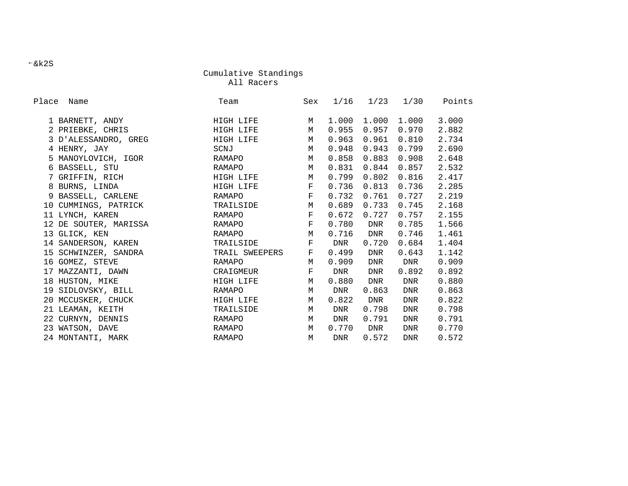All Racers

| Place Name            | Team           | Sex          |       | $1/16$ $1/23$ $1/30$ |                     | Points |
|-----------------------|----------------|--------------|-------|----------------------|---------------------|--------|
| 1 BARNETT, ANDY       | HIGH LIFE      | $M_{\odot}$  | 1.000 | 1.000                | 1.000               | 3.000  |
| 2 PRIEBKE, CHRIS      | HIGH LIFE      | M            | 0.955 |                      | $0.957$ 0.970       | 2.882  |
| 3 D'ALESSANDRO, GREG  | HIGH LIFE      | M            | 0.963 | 0.961                | 0.810               | 2.734  |
| 4 HENRY, JAY          | SCNJ           | M            | 0.948 | 0.943                | 0.799               | 2.690  |
| 5 MANOYLOVICH, IGOR   | RAMAPO         | M            | 0.858 | 0.883                | 0.908               | 2.648  |
| 6 BASSELL, STU        | RAMAPO         | M            | 0.831 |                      | $0.844$ 0.857       | 2.532  |
| 7 GRIFFIN, RICH       | HIGH LIFE      | M            | 0.799 | 0.802                | 0.816               | 2.417  |
| 8 BURNS, LINDA        | HIGH LIFE F    |              | 0.736 |                      | $0.813$ 0.736       | 2.285  |
| 9 BASSELL, CARLENE    | RAMAPO         | $\mathbf{F}$ | 0.732 |                      | $0.761$ 0.727       | 2.219  |
| 10 CUMMINGS, PATRICK  | TRAILSIDE      | M            | 0.689 |                      | $0.733 \quad 0.745$ | 2.168  |
| 11 LYNCH, KAREN       | RAMAPO         | $\mathbf{F}$ | 0.672 | 0.727                | 0.757               | 2.155  |
| 12 DE SOUTER, MARISSA | RAMAPO         | $\mathbf{F}$ | 0.780 | DNR                  | 0.785               | 1.566  |
| 13 GLICK, KEN         | RAMAPO         | $M_{\odot}$  |       | 0.716 DNR            | 0.746               | 1.461  |
| 14 SANDERSON, KAREN   | TRAILSIDE      | $\mathbf{F}$ | DNR   | 0.720                | 0.684               | 1.404  |
| 15 SCHWINZER, SANDRA  | TRAIL SWEEPERS | F            | 0.499 | DNR                  | 0.643               | 1.142  |
| 16 GOMEZ, STEVE       | RAMAPO         | М            | 0.909 | DNR                  | DNR                 | 0.909  |
| 17 MAZZANTI, DAWN     | CRAIGMEUR      | F            | DNR   | DNR                  | 0.892               | 0.892  |
| 18 HUSTON, MIKE       | HIGH LIFE      | M            | 0.880 | DNR                  | DNR                 | 0.880  |
| 19 SIDLOVSKY, BILL    | RAMAPO         | M            | DNR   | 0.863                | DNR                 | 0.863  |
| 20 MCCUSKER, CHUCK    | HIGH LIFE      | M            | 0.822 | DNR                  | DNR                 | 0.822  |
| 21 LEAMAN, KEITH      | TRAILSIDE      | M            | DNR   | 0.798                | DNR                 | 0.798  |
| 22 CURNYN, DENNIS     | RAMAPO         | M            | DNR   | 0.791                | DNR                 | 0.791  |
| 23 WATSON, DAVE       | RAMAPO         | $M_{\odot}$  | 0.770 | DNR                  | DNR                 | 0.770  |
| 24 MONTANTI, MARK     | RAMAPO         | M            | DNR   | 0.572                | <b>DNR</b>          | 0.572  |

&k2S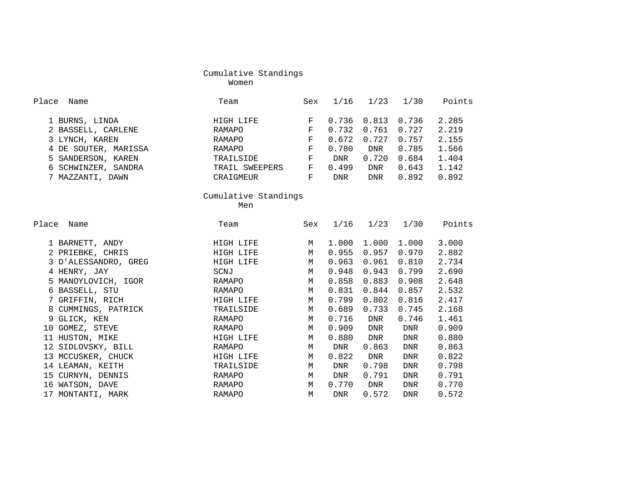women were also the control of the Moment women were the set of the set of the set of the set of the set of th

| Place Name           | Team                 | Sex          | 1/16  | 1/23          | 1/30       | Points |
|----------------------|----------------------|--------------|-------|---------------|------------|--------|
| 1 BURNS, LINDA       | HIGH LIFE            | F            | 0.736 | 0.813         | 0.736      | 2.285  |
| 2 BASSELL, CARLENE   | RAMAPO               | $\mathbf{F}$ | 0.732 | 0.761         | 0.727      | 2.219  |
| 3 LYNCH, KAREN       | RAMAPO               | $\mathbf{F}$ | 0.672 | 0.727         | 0.757      | 2.155  |
| 4 DE SOUTER, MARISSA | RAMAPO               | $\mathbf{F}$ | 0.780 | DNR           | 0.785      | 1.566  |
| 5 SANDERSON, KAREN   | TRAILSIDE            | F            | DNR   | 0.720         | 0.684      | 1.404  |
| 6 SCHWINZER, SANDRA  | TRAIL SWEEPERS       | F            | 0.499 | DNR           | 0.643      | 1.142  |
| 7 MAZZANTI, DAWN     | CRAIGMEUR            | F            | DNR   | DNR           | 0.892      | 0.892  |
|                      | Cumulative Standings |              |       |               |            |        |
|                      | Men                  |              |       |               |            |        |
| Place<br>Name        | Team                 | Sex          |       | $1/16$ $1/23$ | 1/30       | Points |
| 1 BARNETT, ANDY      | HIGH LIFE            | M            | 1.000 | 1.000         | 1.000      | 3.000  |
| 2 PRIEBKE, CHRIS     | HIGH LIFE            | M            | 0.955 | 0.957         | 0.970      | 2.882  |
| 3 D'ALESSANDRO, GREG | HIGH LIFE            | M            | 0.963 | 0.961         | 0.810      | 2.734  |
| 4 HENRY, JAY         | SCNJ                 | M            | 0.948 | 0.943         | 0.799      | 2.690  |
| 5 MANOYLOVICH, IGOR  | RAMAPO               | M            | 0.858 | 0.883         | 0.908      | 2.648  |
| 6 BASSELL, STU       | RAMAPO               | M            | 0.831 | 0.844         | 0.857      | 2.532  |
| 7 GRIFFIN, RICH      | HIGH LIFE            | M            | 0.799 | 0.802         | 0.816      | 2.417  |
| 8 CUMMINGS, PATRICK  | TRAILSIDE            | M            | 0.689 | 0.733         | 0.745      | 2.168  |
| 9 GLICK, KEN         | RAMAPO               | M            | 0.716 | DNR           | 0.746      | 1.461  |
| 10 GOMEZ, STEVE      | RAMAPO               | M            | 0.909 | DNR           | DNR        | 0.909  |
| 11 HUSTON, MIKE      | HIGH LIFE            | M            | 0.880 | DNR           | <b>DNR</b> | 0.880  |
| 12 SIDLOVSKY, BILL   | RAMAPO               | M            | DNR   | 0.863         | DNR        | 0.863  |
| 13 MCCUSKER, CHUCK   | HIGH LIFE            | M            | 0.822 | DNR           | DNR        | 0.822  |
| 14 LEAMAN, KEITH     | TRAILSIDE            | M            | DNR   | 0.798         | DNR        | 0.798  |
| 15 CURNYN, DENNIS    | RAMAPO               | M            | DNR   | 0.791         | <b>DNR</b> | 0.791  |
| 16 WATSON, DAVE      | RAMAPO               | M            | 0.770 | DNR           | DNR        | 0.770  |
| 17 MONTANTI, MARK    | RAMAPO               | M            | DNR   | 0.572         | <b>DNR</b> | 0.572  |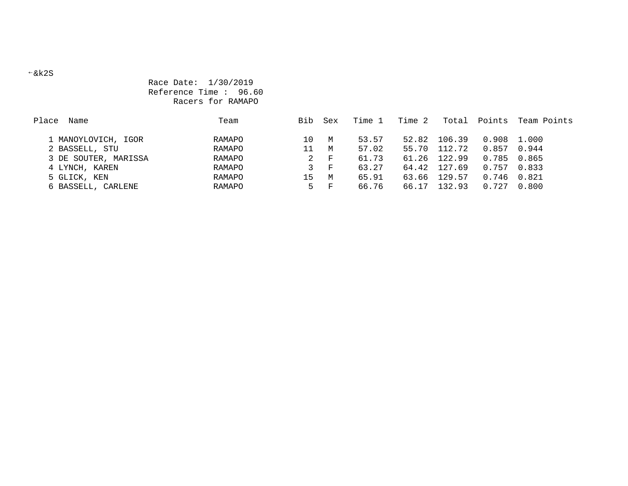# Race Date: 1/30/2019 Reference Time : 96.60 Racers for RAMAPO

| Place<br>Name        | Team   | Bib | Sex   | Time 1 | Time 2 | Total        | Points        | Team Points |
|----------------------|--------|-----|-------|--------|--------|--------------|---------------|-------------|
| 1 MANOYLOVICH, IGOR  | RAMAPO | 10  | M     | 53.57  | 52.82  | 106.39       | 0.908 1.000   |             |
| 2 BASSELL, STU       | RAMAPO | 11  | M     | 57.02  | 55.70  | 112.72       | $0.857$ 0.944 |             |
| 3 DE SOUTER, MARISSA | RAMAPO | 2   | $-$ F | 61.73  |        | 61.26 122.99 | 0.785 0.865   |             |
| 4 LYNCH, KAREN       | RAMAPO | 3   | $- F$ | 63.27  | 64.42  | 127.69       | $0.757$ 0.833 |             |
| 5 GLICK, KEN         | RAMAPO | 15  | M     | 65.91  | 63.66  | 129.57       | 0.746         | 0.821       |
| 6 BASSELL, CARLENE   | RAMAPO | 5   | ਾ ਸਾ  | 66.76  | 66.17  | 132.93       | 0.727         | 0.800       |

&k2S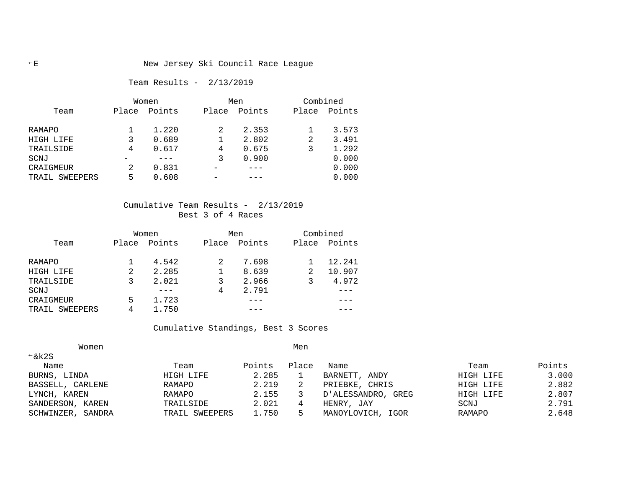# Team Results - 2/13/2019

|                   |       | Women  |       | Men    | Combined |        |  |
|-------------------|-------|--------|-------|--------|----------|--------|--|
| Team              | Place | Points | Place | Points | Place    | Points |  |
| RAMAPO            |       | 1.220  |       | 2.353  |          | 3.573  |  |
| HIGH LIFE         |       | 0.689  |       | 2.802  | 2        | 3.491  |  |
| TRAILSIDE         | 4     | 0.617  | 4     | 0.675  |          | 1.292  |  |
| SCNJ              |       |        |       | 0.900  |          | 0.000  |  |
| CRAIGMEUR         |       | 0.831  |       |        |          | 0.000  |  |
| SWEEPERS<br>TRAIL | 5     | 0.608  |       |        |          | 0.000  |  |

# Cumulative Team Results - 2/13/2019 Best 3 of 4 Races

|                |       | Women  |       | Men    |   | Combined     |
|----------------|-------|--------|-------|--------|---|--------------|
| Team           | Place | Points | Place | Points |   | Place Points |
| RAMAPO         |       | 4.542  |       | 7.698  |   | 12.241       |
| HIGH LIFE      |       | 2.285  |       | 8.639  | 2 | 10.907       |
| TRAILSIDE      |       | 2.021  |       | 2.966  |   | 4.972        |
| SCNJ           |       |        | 4     | 2.791  |   |              |
| CRAIGMEUR      | 5     | 1.723  |       |        |   |              |
| TRAIL SWEEPERS | 4     | 1.750  |       |        |   |              |

## Cumulative Standings, Best 3 Scores

| Women                |                |        | Men   |                    |           |        |
|----------------------|----------------|--------|-------|--------------------|-----------|--------|
| $\xi$ k2S            |                |        |       |                    |           |        |
| Name                 | Team           | Points | Place | Name               | Team      | Points |
| BURNS, LINDA         | HIGH LIFE      | 2.285  |       | BARNETT, ANDY      | HIGH LIFE | 3.000  |
| BASSELL, CARLENE     | RAMAPO         | 2.219  |       | PRIEBKE, CHRIS     | HIGH LIFE | 2.882  |
| LYNCH, KAREN         | RAMAPO         | 2.155  |       | D'ALESSANDRO, GREG | HIGH LIFE | 2.807  |
| SANDERSON, KAREN     | TRAILSIDE      | 2.021  |       | HENRY, JAY         | SCNJ      | 2.791  |
| SCHWINZER,<br>SANDRA | TRAIL SWEEPERS | 1.750  |       | MANOYLOVICH, IGOR  | RAMAPO    | 2.648  |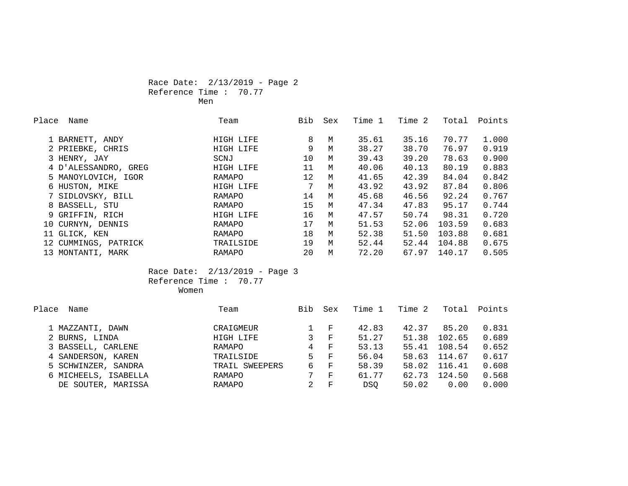# Race Date: 2/13/2019 - Page 2 Reference Time : 70.77 Men

| Place | Name                 | Team      | Bib | Sex | Time 1 | Time 2 | Total  | Points |
|-------|----------------------|-----------|-----|-----|--------|--------|--------|--------|
|       | 1 BARNETT, ANDY      | HIGH LIFE | 8   | M   | 35.61  | 35.16  | 70.77  | 1.000  |
|       | 2 PRIEBKE, CHRIS     | HIGH LIFE | 9   | M   | 38.27  | 38.70  | 76.97  | 0.919  |
|       | 3 HENRY, JAY         | SCNJ      | 10  | M   | 39.43  | 39.20  | 78.63  | 0.900  |
|       | 4 D'ALESSANDRO, GREG | HIGH LIFE | 11  | M   | 40.06  | 40.13  | 80.19  | 0.883  |
|       | 5 MANOYLOVICH, IGOR  | RAMAPO    | 12  | M   | 41.65  | 42.39  | 84.04  | 0.842  |
|       | 6 HUSTON, MIKE       | HIGH LIFE | 7   | M   | 43.92  | 43.92  | 87.84  | 0.806  |
|       | 7 SIDLOVSKY, BILL    | RAMAPO    | 14  | M   | 45.68  | 46.56  | 92.24  | 0.767  |
|       | 8 BASSELL, STU       | RAMAPO    | 15  | M   | 47.34  | 47.83  | 95.17  | 0.744  |
|       | 9 GRIFFIN, RICH      | HIGH LIFE | 16  | M   | 47.57  | 50.74  | 98.31  | 0.720  |
|       | 10 CURNYN, DENNIS    | RAMAPO    | 17  | M   | 51.53  | 52.06  | 103.59 | 0.683  |
|       | 11 GLICK, KEN        | RAMAPO    | 18  | M   | 52.38  | 51.50  | 103.88 | 0.681  |
|       | 12 CUMMINGS, PATRICK | TRAILSIDE | 19  | M   | 52.44  | 52.44  | 104.88 | 0.675  |
|       | 13 MONTANTI, MARK    | RAMAPO    | 20  | M   | 72.20  | 67.97  | 140.17 | 0.505  |

 Race Date: 2/13/2019 - Page 3 Reference Time : 70.77 Women

| Place<br>Name         | Team           | Bib | Sex          | Time 1     | Time 2 | Total  | Points |
|-----------------------|----------------|-----|--------------|------------|--------|--------|--------|
|                       |                |     |              |            |        |        |        |
| 1 MAZZANTI, DAWN      | CRAIGMEUR      |     | F            | 42.83      | 42.37  | 85.20  | 0.831  |
| 2 BURNS, LINDA        | HIGH LIFE      | 3.  | $_{\rm F}$   | 51.27      | 51.38  | 102.65 | 0.689  |
| 3 BASSELL, CARLENE    | RAMAPO         | 4   | $\mathbf{F}$ | 53.13      | 55.41  | 108.54 | 0.652  |
| 4 SANDERSON, KAREN    | TRAILSIDE      | 5.  | $-$ F        | 56.04      | 58.63  | 114.67 | 0.617  |
| 5 SCHWINZER, SANDRA   | TRAIL SWEEPERS | 6   | $\mathbf{F}$ | 58.39      | 58.02  | 116.41 | 0.608  |
| 6 MICHEELS, ISABELLA  | RAMAPO         | 7   | F            | 61.77      | 62.73  | 124.50 | 0.568  |
| MARISSA<br>DE SOUTER, | RAMAPO         |     | F            | <b>DSO</b> | 50.02  | 0.00   | 0.000  |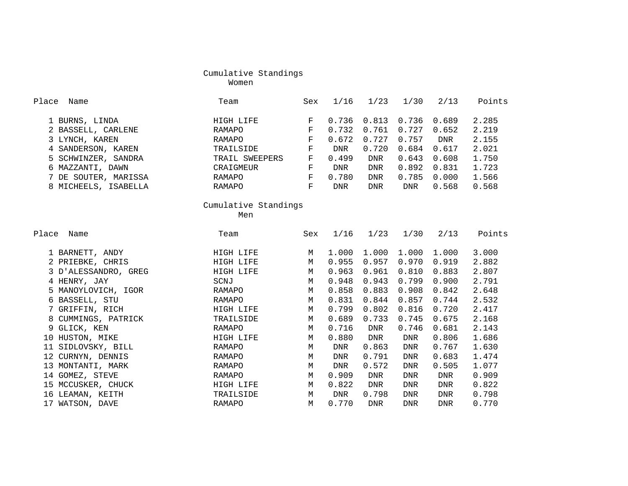women were also the control of the Moment women were the set of the set of the set of the set of the set of th

| Place<br>Name        | Team                 | Sex          | 1/16  | 1/23       | 1/30        | 2/13       | Points |
|----------------------|----------------------|--------------|-------|------------|-------------|------------|--------|
| 1 BURNS, LINDA       | HIGH LIFE            | F            | 0.736 | 0.813      | 0.736       | 0.689      | 2.285  |
| 2 BASSELL, CARLENE   | RAMAPO               | $\mathbf F$  | 0.732 | 0.761      | 0.727       | 0.652      | 2.219  |
| 3 LYNCH, KAREN       | RAMAPO               | $\mathbf F$  | 0.672 | 0.727      | 0.757       | DNR        | 2.155  |
| 4 SANDERSON, KAREN   | TRAILSIDE            | $_{\rm F}$   | DNR   | 0.720      | 0.684       | 0.617      | 2.021  |
| 5 SCHWINZER, SANDRA  | TRAIL SWEEPERS       | $\mathbf F$  | 0.499 | <b>DNR</b> | 0.643       | 0.608      | 1.750  |
| 6 MAZZANTI, DAWN     | CRAIGMEUR            | $\mathbf F$  | DNR   | <b>DNR</b> | 0.892       | 0.831      | 1.723  |
| 7 DE SOUTER, MARISSA | RAMAPO               | $\mathbf{F}$ | 0.780 | <b>DNR</b> | 0.785       | 0.000      | 1.566  |
| 8 MICHEELS, ISABELLA | RAMAPO               | F            | DNR   | <b>DNR</b> | DNR         | 0.568      | 0.568  |
|                      | Cumulative Standings |              |       |            |             |            |        |
|                      | Men                  |              |       |            |             |            |        |
| Place Name           | Team                 | Sex          | 1/16  | 1/23       | 1/30        | 2/13       | Points |
| 1 BARNETT, ANDY      | HIGH LIFE            | M            | 1.000 | 1.000      | 1.000       | 1,000      | 3.000  |
| 2 PRIEBKE, CHRIS     | HIGH LIFE            | $M_{\odot}$  | 0.955 | 0.957      | 0.970       | 0.919      | 2.882  |
| 3 D'ALESSANDRO, GREG | HIGH LIFE            | M            | 0.963 | 0.961      | 0.810       | 0.883      | 2.807  |
| 4 HENRY, JAY         | SCNJ                 | M            | 0.948 | 0.943      | 0.799       | 0.900      | 2.791  |
| 5 MANOYLOVICH, IGOR  | RAMAPO               | M            | 0.858 | 0.883      | 0.908       | 0.842      | 2.648  |
| 6 BASSELL, STU       | RAMAPO               | M            | 0.831 | 0.844      | 0.857       | 0.744      | 2.532  |
| 7 GRIFFIN, RICH      | HIGH LIFE            | M            | 0.799 | 0.802      | 0.816       | 0.720      | 2.417  |
| 8 CUMMINGS, PATRICK  | TRAILSIDE            | M            | 0.689 | 0.733      | 0.745       | 0.675      | 2.168  |
| 9 GLICK, KEN         | RAMAPO               | M            | 0.716 | <b>DNR</b> | 0.746       | 0.681      | 2.143  |
| 10 HUSTON, MIKE      | HIGH LIFE            | M            | 0.880 | <b>DNR</b> | <b>DNR</b>  | 0.806      | 1.686  |
| 11 SIDLOVSKY, BILL   | RAMAPO               | $M_{\odot}$  | DNR   | 0.863      | <b>DNR</b>  | 0.767      | 1.630  |
| 12 CURNYN, DENNIS    | RAMAPO               | M            | DNR   | 0.791      | <b>DNR</b>  | 0.683      | 1.474  |
| 13 MONTANTI, MARK    | RAMAPO               | M            | DNR   | 0.572      | <b>DNR</b>  | 0.505      | 1.077  |
| 14 GOMEZ, STEVE      | RAMAPO               | M            | 0.909 | <b>DNR</b> | <b>DNR</b>  | <b>DNR</b> | 0.909  |
| 15 MCCUSKER, CHUCK   | HIGH LIFE            | M            | 0.822 | <b>DNR</b> | <b>DNR</b>  | <b>DNR</b> | 0.822  |
| 16 LEAMAN, KEITH     | TRAILSIDE            | $M_{\odot}$  | DNR   | 0.798      | ${\rm DNR}$ | <b>DNR</b> | 0.798  |
| 17 WATSON, DAVE      | <b>RAMAPO</b>        | M            | 0.770 | <b>DNR</b> | <b>DNR</b>  | <b>DNR</b> | 0.770  |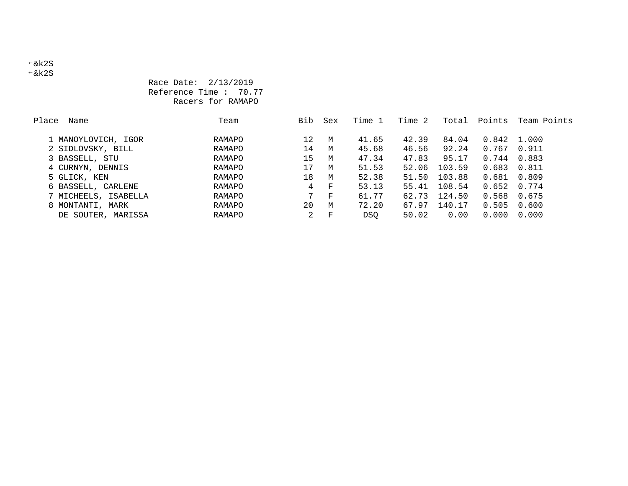&k2S &k2S

# Race Date: 2/13/2019 Reference Time : 70.77 Racers for RAMAPO

| Place<br>Name        | Team   | Bib | Sex | Time 1     | Time 2 | Total  | Points | Team Points |
|----------------------|--------|-----|-----|------------|--------|--------|--------|-------------|
|                      |        |     |     |            |        |        |        |             |
| 1 MANOYLOVICH, IGOR  | RAMAPO | 12  | M   | 41.65      | 42.39  | 84.04  | 0.842  | 1.000       |
| 2 SIDLOVSKY, BILL    | RAMAPO | 14  | M   | 45.68      | 46.56  | 92.24  | 0.767  | 0.911       |
| 3 BASSELL, STU       | RAMAPO | 15  | M   | 47.34      | 47.83  | 95.17  | 0.744  | 0.883       |
| 4 CURNYN, DENNIS     | RAMAPO | 17  | M   | 51.53      | 52.06  | 103.59 | 0.683  | 0.811       |
| 5 GLICK, KEN         | RAMAPO | 18  | M   | 52.38      | 51.50  | 103.88 | 0.681  | 0.809       |
| 6 BASSELL, CARLENE   | RAMAPO | 4   | F   | 53.13      | 55.41  | 108.54 | 0.652  | 0.774       |
| 7 MICHEELS, ISABELLA | RAMAPO |     | F   | 61.77      | 62.73  | 124.50 | 0.568  | 0.675       |
| 8 MONTANTI, MARK     | RAMAPO | 20  | M   | 72.20      | 67.97  | 140.17 | 0.505  | 0.600       |
| DE SOUTER, MARISSA   | RAMAPO | 2   | F   | <b>DSO</b> | 50.02  | 0.00   | 0.000  | 0.000       |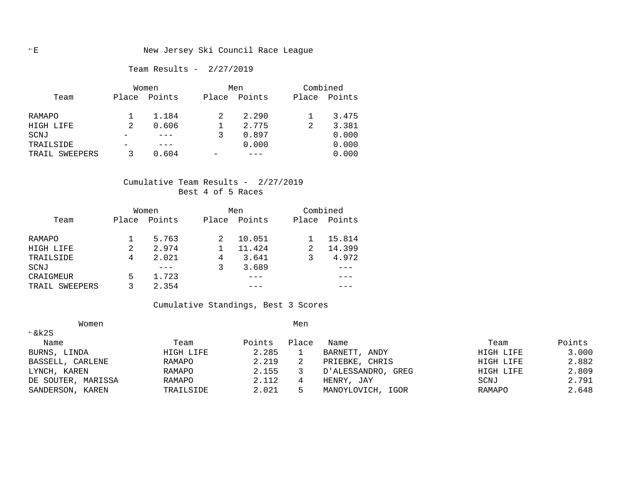Team Results - 2/27/2019

|                | Women |        |       | Men    | Combined |        |  |
|----------------|-------|--------|-------|--------|----------|--------|--|
| Team           | Place | Points | Place | Points | Place    | Points |  |
|                |       |        |       |        |          |        |  |
| RAMAPO         |       | 1.184  |       | 2.290  |          | 3.475  |  |
| HIGH LIFE      |       | 0.606  |       | 2.775  |          | 3.381  |  |
| SCNJ           |       |        |       | 0.897  |          | 0.000  |  |
| TRAILSIDE      |       |        |       | 0.000  |          | 0.000  |  |
| TRAIL SWEEPERS |       | 0.604  |       |        |          | 0.000  |  |

# Cumulative Team Results - 2/27/2019 Best 4 of 5 Races

|                | Women          |        |       | Men    |       | Combined |  |  |
|----------------|----------------|--------|-------|--------|-------|----------|--|--|
| Team           | Place          | Points | Place | Points | Place | Points   |  |  |
| RAMAPO         |                | 5.763  |       | 10.051 |       | 15.814   |  |  |
| HIGH LIFE      | 2              | 2.974  |       | 11.424 |       | 14.399   |  |  |
| TRAILSIDE      | $\overline{4}$ | 2.021  | 4     | 3.641  |       | 4.972    |  |  |
| SCNJ           |                |        |       | 3.689  |       |          |  |  |
| CRAIGMEUR      | 5              | 1.723  |       |        |       |          |  |  |
| TRAIL SWEEPERS |                | 2.354  |       |        |       |          |  |  |

# Cumulative Standings, Best 3 Scores

| Women              |           |        | Men   |                    |           |        |
|--------------------|-----------|--------|-------|--------------------|-----------|--------|
| $\xi$ k2S          |           |        |       |                    |           |        |
| Name               | Team      | Points | Place | Name               | Team      | Points |
| BURNS, LINDA       | HIGH LIFE | 2.285  |       | BARNETT, ANDY      | HIGH LIFE | 3.000  |
| BASSELL, CARLENE   | RAMAPO    | 2.219  | 2     | PRIEBKE, CHRIS     | HIGH LIFE | 2.882  |
| LYNCH, KAREN       | RAMAPO    | 2.155  |       | D'ALESSANDRO, GREG | HIGH LIFE | 2.809  |
| DE SOUTER, MARISSA | RAMAPO    | 2.112  | 4     | HENRY, JAY         | SCNJ      | 2.791  |
| SANDERSON, KAREN   | TRAILSIDE | 2.021  | 5.    | MANOYLOVICH, IGOR  | RAMAPO    | 2.648  |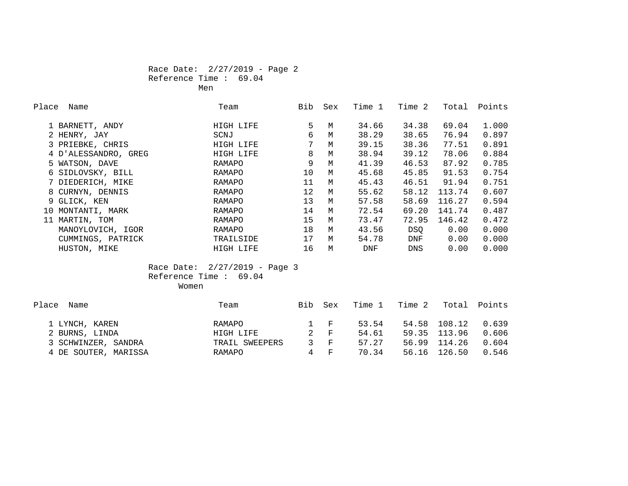# Race Date: 2/27/2019 - Page 2 Reference Time : 69.04 Men

| Place | Name                 | Team      | Bib | Sex | Time 1     | Time 2 | Total  | Points |
|-------|----------------------|-----------|-----|-----|------------|--------|--------|--------|
|       | 1 BARNETT, ANDY      | HIGH LIFE | 5   | M   | 34.66      | 34.38  | 69.04  | 1.000  |
|       | 2 HENRY, JAY         | SCNJ      | 6   | M   | 38.29      | 38.65  | 76.94  | 0.897  |
|       | 3 PRIEBKE, CHRIS     | HIGH LIFE | 7   | M   | 39.15      | 38.36  | 77.51  | 0.891  |
|       | 4 D'ALESSANDRO, GREG | HIGH LIFE | 8   | M   | 38.94      | 39.12  | 78.06  | 0.884  |
|       | 5 WATSON, DAVE       | RAMAPO    | 9   | M   | 41.39      | 46.53  | 87.92  | 0.785  |
|       | 6 SIDLOVSKY, BILL    | RAMAPO    | 10  | M   | 45.68      | 45.85  | 91.53  | 0.754  |
|       | 7 DIEDERICH, MIKE    | RAMAPO    | 11  | M   | 45.43      | 46.51  | 91.94  | 0.751  |
|       | 8 CURNYN, DENNIS     | RAMAPO    | 12  | M   | 55.62      | 58.12  | 113.74 | 0.607  |
|       | 9 GLICK, KEN         | RAMAPO    | 13  | M   | 57.58      | 58.69  | 116.27 | 0.594  |
|       | 10 MONTANTI, MARK    | RAMAPO    | 14  | M   | 72.54      | 69.20  | 141.74 | 0.487  |
|       | 11 MARTIN, TOM       | RAMAPO    | 15  | M   | 73.47      | 72.95  | 146.42 | 0.472  |
|       | MANOYLOVICH, IGOR    | RAMAPO    | 18  | M   | 43.56      | DSO    | 0.00   | 0.000  |
|       | CUMMINGS, PATRICK    | TRAILSIDE | 17  | M   | 54.78      | DNF    | 0.00   | 0.000  |
|       | HUSTON, MIKE         | HIGH LIFE | 16  | M   | <b>DNF</b> | DNS    | 0.00   | 0.000  |

 Race Date: 2/27/2019 - Page 3 Reference Time : 69.04 Women

| Place<br>Name        | Team           | Bib | Sex     | Time 1 | Time 2 |              | Total Points |
|----------------------|----------------|-----|---------|--------|--------|--------------|--------------|
|                      |                |     |         |        |        |              |              |
| 1 LYNCH, KAREN       | RAMAPO         |     | $1 - F$ | 53.54  |        | 54.58 108.12 | 0.639        |
| 2 BURNS, LINDA       | HIGH LIFE      |     | 2 F     | 54.61  |        | 59.35 113.96 | 0.606        |
| 3 SCHWINZER, SANDRA  | TRAIL SWEEPERS |     | 3 F     | 57.27  |        | 56.99 114.26 | 0.604        |
| 4 DE SOUTER, MARISSA | RAMAPO         | 4   | ਾ ਸਾ    | 70.34  | 56.16  | 126.50       | 0.546        |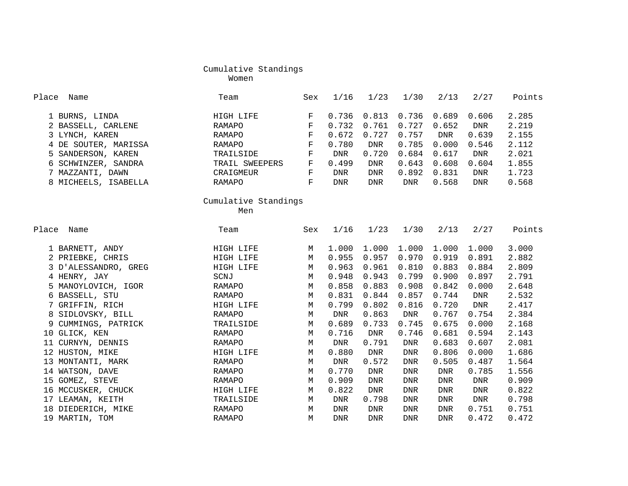women were also the control of the Moment women were the set of the set of the set of the set of the set of th

| Place<br>Name        | Team                 | Sex         | 1/16       | 1/23        | 1/30        | 2/13       | 2/27       | Points |
|----------------------|----------------------|-------------|------------|-------------|-------------|------------|------------|--------|
| 1 BURNS, LINDA       | HIGH LIFE            | $\mathbf F$ | 0.736      | 0.813       | 0.736       | 0.689      | 0.606      | 2.285  |
| 2 BASSELL, CARLENE   | RAMAPO               | $\mathbf F$ | 0.732      | 0.761       | 0.727       | 0.652      | DNR        | 2.219  |
| 3 LYNCH, KAREN       | RAMAPO               | F           | 0.672      | 0.727       | 0.757       | DNR        | 0.639      | 2.155  |
| 4 DE SOUTER, MARISSA | RAMAPO               | $\mathbf F$ | 0.780      | <b>DNR</b>  | 0.785       | 0.000      | 0.546      | 2.112  |
| 5 SANDERSON, KAREN   | TRAILSIDE            | $\mathbf F$ | <b>DNR</b> | 0.720       | 0.684       | 0.617      | <b>DNR</b> | 2.021  |
| 6 SCHWINZER, SANDRA  | TRAIL SWEEPERS       | $\mathbf F$ | 0.499      | <b>DNR</b>  | 0.643       | 0.608      | 0.604      | 1.855  |
| 7 MAZZANTI, DAWN     | CRAIGMEUR            | $\mathbf F$ | <b>DNR</b> | <b>DNR</b>  | 0.892       | 0.831      | <b>DNR</b> | 1.723  |
| 8 MICHEELS, ISABELLA | RAMAPO               | $\mathbf F$ | <b>DNR</b> | <b>DNR</b>  | <b>DNR</b>  | 0.568      | <b>DNR</b> | 0.568  |
|                      | Cumulative Standings |             |            |             |             |            |            |        |
|                      | Men                  |             |            |             |             |            |            |        |
| Place<br>Name        | Team                 | Sex         | 1/16       | 1/23        | 1/30        | 2/13       | 2/27       | Points |
| 1 BARNETT, ANDY      | HIGH LIFE            | М           | 1.000      | 1.000       | 1.000       | 1.000      | 1.000      | 3.000  |
| 2 PRIEBKE, CHRIS     | HIGH LIFE            | М           | 0.955      | 0.957       | 0.970       | 0.919      | 0.891      | 2.882  |
| 3 D'ALESSANDRO, GREG | HIGH LIFE            | М           | 0.963      | 0.961       | 0.810       | 0.883      | 0.884      | 2.809  |
| 4 HENRY, JAY         | SCNJ                 | M           | 0.948      | 0.943       | 0.799       | 0.900      | 0.897      | 2.791  |
| 5 MANOYLOVICH, IGOR  | RAMAPO               | M           | 0.858      | 0.883       | 0.908       | 0.842      | 0.000      | 2.648  |
| 6 BASSELL, STU       | RAMAPO               | М           | 0.831      | 0.844       | 0.857       | 0.744      | <b>DNR</b> | 2.532  |
| 7 GRIFFIN, RICH      | HIGH LIFE            | M           | 0.799      | 0.802       | 0.816       | 0.720      | <b>DNR</b> | 2.417  |
| 8 SIDLOVSKY, BILL    | RAMAPO               | M           | DNR        | 0.863       | <b>DNR</b>  | 0.767      | 0.754      | 2.384  |
| 9 CUMMINGS, PATRICK  | TRAILSIDE            | M           | 0.689      | 0.733       | 0.745       | 0.675      | 0.000      | 2.168  |
| 10 GLICK, KEN        | RAMAPO               | M           | 0.716      | <b>DNR</b>  | 0.746       | 0.681      | 0.594      | 2.143  |
| 11 CURNYN, DENNIS    | RAMAPO               | М           | <b>DNR</b> | 0.791       | <b>DNR</b>  | 0.683      | 0.607      | 2.081  |
| 12 HUSTON, MIKE      | HIGH LIFE            | M           | 0.880      | <b>DNR</b>  | ${\rm DNR}$ | 0.806      | 0.000      | 1.686  |
| 13 MONTANTI, MARK    | RAMAPO               | M           | <b>DNR</b> | 0.572       | <b>DNR</b>  | 0.505      | 0.487      | 1.564  |
| 14 WATSON, DAVE      | RAMAPO               | M           | 0.770      | <b>DNR</b>  | <b>DNR</b>  | <b>DNR</b> | 0.785      | 1.556  |
| 15 GOMEZ, STEVE      | RAMAPO               | М           | 0.909      | ${\rm DNR}$ | <b>DNR</b>  | <b>DNR</b> | DNR        | 0.909  |
| 16 MCCUSKER, CHUCK   | HIGH LIFE            | M           | 0.822      | <b>DNR</b>  | <b>DNR</b>  | <b>DNR</b> | DNR        | 0.822  |
| 17 LEAMAN, KEITH     | TRAILSIDE            | M           | <b>DNR</b> | 0.798       | <b>DNR</b>  | <b>DNR</b> | DNR        | 0.798  |
| 18 DIEDERICH, MIKE   | <b>RAMAPO</b>        | M           | <b>DNR</b> | <b>DNR</b>  | <b>DNR</b>  | <b>DNR</b> | 0.751      | 0.751  |
| 19 MARTIN, TOM       | RAMAPO               | М           | <b>DNR</b> | <b>DNR</b>  | <b>DNR</b>  | <b>DNR</b> | 0.472      | 0.472  |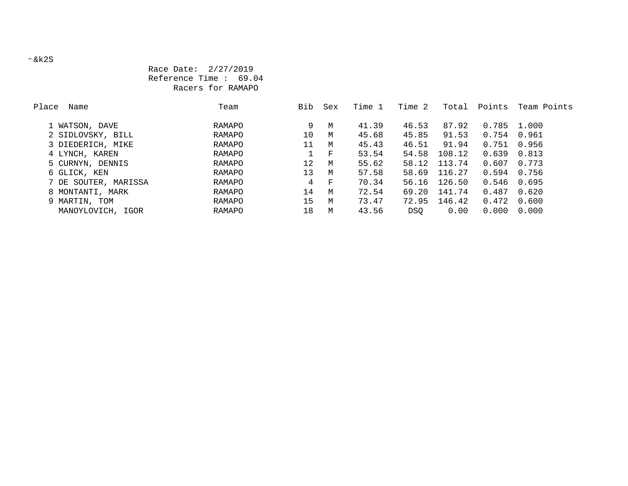# Race Date: 2/27/2019 Reference Time : 69.04 Racers for RAMAPO

| Place<br>Name        | Team          | Bib             | Sex | Time 1 | Time 2 | Total  | Points        | Team Points |
|----------------------|---------------|-----------------|-----|--------|--------|--------|---------------|-------------|
|                      |               |                 |     |        |        |        |               |             |
| 1 WATSON, DAVE       | RAMAPO        | 9               | M   | 41.39  | 46.53  | 87.92  | 0.785         | 1.000       |
| 2 SIDLOVSKY, BILL    | RAMAPO        | 10              | M   | 45.68  | 45.85  | 91.53  | 0.754         | 0.961       |
| 3 DIEDERICH, MIKE    | RAMAPO        | 11              | M   | 45.43  | 46.51  | 91.94  | 0.751         | 0.956       |
| 4 LYNCH, KAREN       | RAMAPO        |                 | F   | 53.54  | 54.58  | 108.12 | 0.639         | 0.813       |
| 5 CURNYN, DENNIS     | RAMAPO        | 12              | M   | 55.62  | 58.12  | 113.74 | 0.607         | 0.773       |
| 6 GLICK, KEN         | RAMAPO        | 13 <sup>°</sup> | M   | 57.58  | 58.69  | 116.27 | 0.594         | 0.756       |
| 7 DE SOUTER, MARISSA | RAMAPO        | 4               | F   | 70.34  | 56.16  | 126.50 | $0.546$ 0.695 |             |
| 8 MONTANTI, MARK     | RAMAPO        | 14              | M   | 72.54  | 69.20  | 141.74 | 0.487         | 0.620       |
| 9 MARTIN, TOM        | RAMAPO        | 15              | M   | 73.47  | 72.95  | 146.42 | 0.472         | 0.600       |
| MANOYLOVICH, IGOR    | <b>RAMAPO</b> | 18              | М   | 43.56  | DSO.   | 0.00   | 0.000         | 0.000       |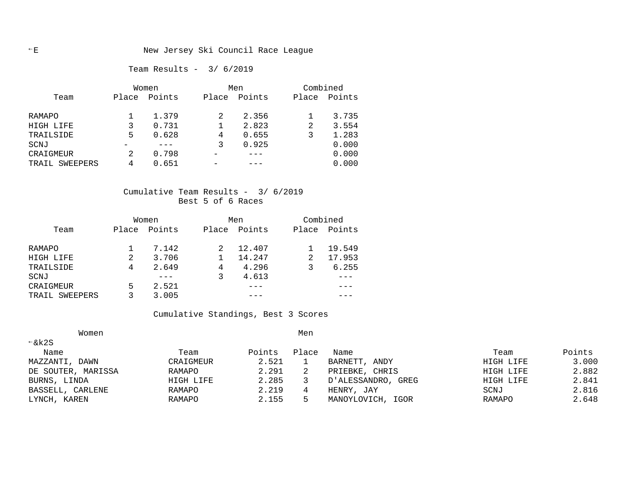Team Results - 3/ 6/2019

|                   |       | Women  |       | Combined<br>Men |       |        |
|-------------------|-------|--------|-------|-----------------|-------|--------|
| Team              | Place | Points | Place | Points          | Place | Points |
|                   |       |        |       |                 |       |        |
| RAMAPO            |       | 1.379  | 2     | 2.356           |       | 3.735  |
| HIGH LIFE         | 3     | 0.731  |       | 2.823           | 2     | 3.554  |
| TRAILSIDE         | 5     | 0.628  | 4     | 0.655           | 3     | 1.283  |
| SCNJ              |       |        | 3     | 0.925           |       | 0.000  |
| CRAIGMEUR         | 2     | 0.798  |       |                 |       | 0.000  |
| SWEEPERS<br>TRAIL | 4     | 0.651  |       |                 |       | 0.000  |

# Cumulative Team Results - 3/ 6/2019 Best 5 of 6 Races

|                |       | Women  |       | Men    |   | Combined     |  |  |
|----------------|-------|--------|-------|--------|---|--------------|--|--|
| Team           | Place | Points | Place | Points |   | Place Points |  |  |
| RAMAPO         |       | 7.142  |       | 12.407 |   | 19.549       |  |  |
| HIGH LIFE      | 2     | 3.706  |       | 14.247 | 2 | 17.953       |  |  |
| TRAILSIDE      | 4     | 2.649  | 4     | 4.296  |   | 6.255        |  |  |
| SCNJ           |       |        |       | 4.613  |   |              |  |  |
| CRAIGMEUR      | 5     | 2.521  |       |        |   |              |  |  |
| TRAIL SWEEPERS |       | 3.005  |       |        |   |              |  |  |

# Cumulative Standings, Best 3 Scores

| Women              |           |        | Men   |                    |           |        |
|--------------------|-----------|--------|-------|--------------------|-----------|--------|
| $\xi$ k2S          |           |        |       |                    |           |        |
| Name               | Team      | Points | Place | Name               | Team      | Points |
| MAZZANTI,<br>DAWN  | CRAIGMEUR | 2.521  |       | BARNETT, ANDY      | HIGH LIFE | 3.000  |
| DE SOUTER, MARISSA | RAMAPO    | 2.291  | 2     | CHRIS<br>PRIEBKE,  | HIGH LIFE | 2.882  |
| BURNS, LINDA       | HIGH LIFE | 2.285  |       | D'ALESSANDRO, GREG | HIGH LIFE | 2.841  |
| BASSELL, CARLENE   | RAMAPO    | 2.219  | 4     | HENRY, JAY         | SCNJ      | 2.816  |
| LYNCH, KAREN       | RAMAPO    | 2.155  | 5.    | MANOYLOVICH, IGOR  | RAMAPO    | 2.648  |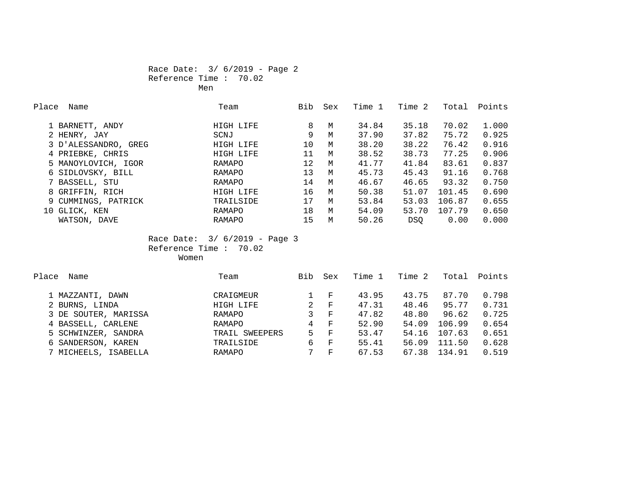# Race Date: 3/ 6/2019 - Page 2 Reference Time : 70.02 Men

| Place | Name                 | Team      | Bib | Sex | Time 1 | Time 2     | Total  | Points |
|-------|----------------------|-----------|-----|-----|--------|------------|--------|--------|
|       | 1 BARNETT, ANDY      | HIGH LIFE | 8   | M   | 34.84  | 35.18      | 70.02  | 1.000  |
|       | 2 HENRY, JAY         | SCNJ      | 9   | M   | 37.90  | 37.82      | 75.72  | 0.925  |
|       | 3 D'ALESSANDRO, GREG | HIGH LIFE | 10  | M   | 38.20  | 38.22      | 76.42  | 0.916  |
|       | 4 PRIEBKE, CHRIS     | HIGH LIFE | 11  | M   | 38.52  | 38.73      | 77.25  | 0.906  |
|       | 5 MANOYLOVICH, IGOR  | RAMAPO    | 12  | M   | 41.77  | 41.84      | 83.61  | 0.837  |
|       | 6 SIDLOVSKY, BILL    | RAMAPO    | 13  | M   | 45.73  | 45.43      | 91.16  | 0.768  |
|       | 7 BASSELL, STU       | RAMAPO    | 14  | M   | 46.67  | 46.65      | 93.32  | 0.750  |
|       | 8 GRIFFIN, RICH      | HIGH LIFE | 16  | M   | 50.38  | 51.07      | 101.45 | 0.690  |
|       | 9 CUMMINGS, PATRICK  | TRAILSIDE | 17  | M   | 53.84  | 53.03      | 106.87 | 0.655  |
|       | 10 GLICK, KEN        | RAMAPO    | 18  | M   | 54.09  | 53.70      | 107.79 | 0.650  |
|       | WATSON, DAVE         | RAMAPO    | 15  | M   | 50.26  | <b>DSO</b> | 0.00   | 0.000  |

 Race Date: 3/ 6/2019 - Page 3 Reference Time : 70.02 women women women women women women women women women women women women women women women women women women wo

| Team           | Bib | Sex          | Time 1 | Time 2 | Total  | Points |
|----------------|-----|--------------|--------|--------|--------|--------|
|                |     |              |        |        |        |        |
| CRAIGMEUR      |     | F            | 43.95  | 43.75  | 87.70  | 0.798  |
| HIGH LIFE      | 2   | F            | 47.31  | 48.46  | 95.77  | 0.731  |
| RAMAPO         | 3   | $_{\rm F}$   | 47.82  | 48.80  | 96.62  | 0.725  |
| RAMAPO         | 4   | $_{\rm F}$   | 52.90  | 54.09  | 106.99 | 0.654  |
| TRAIL SWEEPERS | 5   | $\mathbf{F}$ | 53.47  | 54.16  | 107.63 | 0.651  |
| TRAILSIDE      | 6   | $\mathbf{F}$ | 55.41  | 56.09  | 111.50 | 0.628  |
| RAMAPO         | 7   | F            | 67.53  | 67.38  | 134.91 | 0.519  |
|                |     |              |        |        |        |        |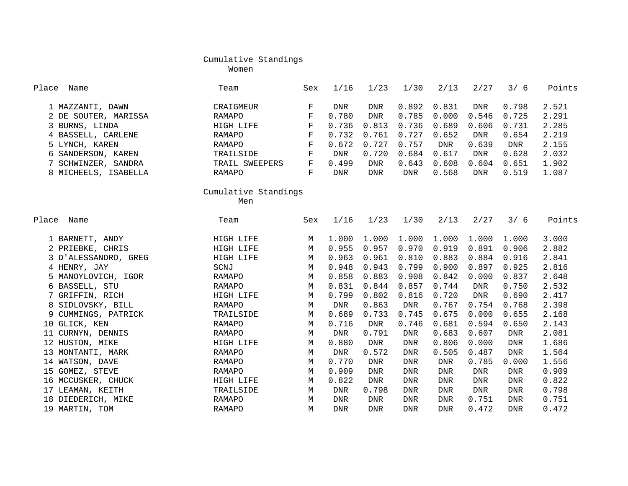Women

| Place<br>Name          | Team                 | Sex         | 1/16       | 1/23        | 1/30       | 2/13       | 2/27       | 3/6        | Points |
|------------------------|----------------------|-------------|------------|-------------|------------|------------|------------|------------|--------|
| 1 MAZZANTI, DAWN       | CRAIGMEUR            | F           | DNR        | DNR         | 0.892      | 0.831      | DNR        | 0.798      | 2.521  |
| 2 DE SOUTER, MARISSA   | <b>RAMAPO</b>        | $\mathbf F$ | 0.780      | <b>DNR</b>  | 0.785      | 0.000      | 0.546      | 0.725      | 2.291  |
| 3 BURNS, LINDA         | HIGH LIFE            | $\mathbf F$ | 0.736      | 0.813       | 0.736      | 0.689      | 0.606      | 0.731      | 2.285  |
| 4 BASSELL, CARLENE     | <b>RAMAPO</b>        | $\mathbf F$ | 0.732      | 0.761       | 0.727      | 0.652      | <b>DNR</b> | 0.654      | 2.219  |
| 5 LYNCH, KAREN         | <b>RAMAPO</b>        | $\mathbf F$ | 0.672      | 0.727       | 0.757      | <b>DNR</b> | 0.639      | DNR        | 2.155  |
| SANDERSON, KAREN<br>6  | TRAILSIDE            | $\mathbf F$ | <b>DNR</b> | 0.720       | 0.684      | 0.617      | <b>DNR</b> | 0.628      | 2.032  |
| SCHWINZER, SANDRA      | TRAIL SWEEPERS       | $\mathbf F$ | 0.499      | <b>DNR</b>  | 0.643      | 0.608      | 0.604      | 0.651      | 1.902  |
| 8 MICHEELS, ISABELLA   | <b>RAMAPO</b>        | $\mathbf F$ | <b>DNR</b> | <b>DNR</b>  | <b>DNR</b> | 0.568      | <b>DNR</b> | 0.519      | 1.087  |
|                        | Cumulative Standings |             |            |             |            |            |            |            |        |
|                        | Men                  |             |            |             |            |            |            |            |        |
| Name<br>Place          | Team                 | Sex         | 1/16       | 1/23        | 1/30       | 2/13       | 2/27       | 3/6        | Points |
| 1 BARNETT, ANDY        | HIGH LIFE            | М           | 1.000      | 1.000       | 1.000      | 1.000      | 1.000      | 1.000      | 3.000  |
| 2 PRIEBKE, CHRIS       | HIGH LIFE            | M           | 0.955      | 0.957       | 0.970      | 0.919      | 0.891      | 0.906      | 2.882  |
| 3 D'ALESSANDRO, GREG   | HIGH LIFE            | M           | 0.963      | 0.961       | 0.810      | 0.883      | 0.884      | 0.916      | 2.841  |
| 4 HENRY, JAY           | SCNJ                 | M           | 0.948      | 0.943       | 0.799      | 0.900      | 0.897      | 0.925      | 2.816  |
| 5 MANOYLOVICH, IGOR    | RAMAPO               | М           | 0.858      | 0.883       | 0.908      | 0.842      | 0.000      | 0.837      | 2.648  |
| BASSELL, STU<br>6      | RAMAPO               | M           | 0.831      | 0.844       | 0.857      | 0.744      | <b>DNR</b> | 0.750      | 2.532  |
| GRIFFIN, RICH          | HIGH LIFE            | М           | 0.799      | 0.802       | 0.816      | 0.720      | <b>DNR</b> | 0.690      | 2.417  |
| SIDLOVSKY, BILL        | <b>RAMAPO</b>        | М           | <b>DNR</b> | 0.863       | <b>DNR</b> | 0.767      | 0.754      | 0.768      | 2.398  |
| CUMMINGS, PATRICK<br>9 | TRAILSIDE            | М           | 0.689      | 0.733       | 0.745      | 0.675      | 0.000      | 0.655      | 2.168  |
| GLICK, KEN<br>10       | <b>RAMAPO</b>        | М           | 0.716      | ${\rm DNR}$ | 0.746      | 0.681      | 0.594      | 0.650      | 2.143  |
| 11 CURNYN, DENNIS      | RAMAPO               | М           | <b>DNR</b> | 0.791       | DNR        | 0.683      | 0.607      | <b>DNR</b> | 2.081  |
| 12 HUSTON, MIKE        | HIGH LIFE            | M           | 0.880      | <b>DNR</b>  | <b>DNR</b> | 0.806      | 0.000      | <b>DNR</b> | 1.686  |
| 13 MONTANTI, MARK      | <b>RAMAPO</b>        | М           | <b>DNR</b> | 0.572       | <b>DNR</b> | 0.505      | 0.487      | <b>DNR</b> | 1.564  |
| 14 WATSON, DAVE        | RAMAPO               | М           | 0.770      | <b>DNR</b>  | <b>DNR</b> | <b>DNR</b> | 0.785      | 0.000      | 1.556  |
| 15 GOMEZ, STEVE        | <b>RAMAPO</b>        | M           | 0.909      | <b>DNR</b>  | <b>DNR</b> | <b>DNR</b> | <b>DNR</b> | <b>DNR</b> | 0.909  |
| 16 MCCUSKER, CHUCK     | HIGH LIFE            | М           | 0.822      | ${\rm DNR}$ | <b>DNR</b> | <b>DNR</b> | <b>DNR</b> | <b>DNR</b> | 0.822  |
| 17 LEAMAN, KEITH       | TRAILSIDE            | М           | <b>DNR</b> | 0.798       | <b>DNR</b> | <b>DNR</b> | <b>DNR</b> | <b>DNR</b> | 0.798  |
| 18 DIEDERICH, MIKE     | <b>RAMAPO</b>        | М           | <b>DNR</b> | <b>DNR</b>  | <b>DNR</b> | <b>DNR</b> | 0.751      | <b>DNR</b> | 0.751  |
| 19 MARTIN, TOM         | <b>RAMAPO</b>        | M           | <b>DNR</b> | <b>DNR</b>  | <b>DNR</b> | <b>DNR</b> | 0.472      | <b>DNR</b> | 0.472  |